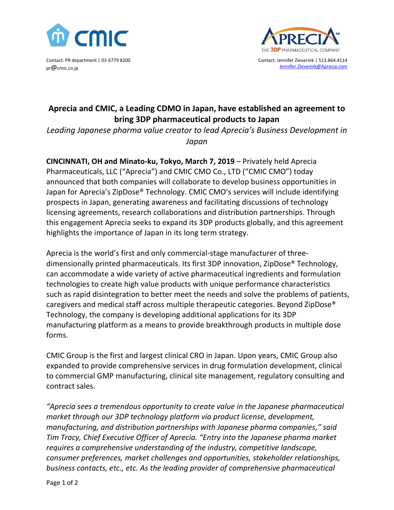

Contact: PR department | 03 6779 8200 pr@cmic.co.jp



Contact: Jennifer Zieverink | 513.864.4114 [Jennifer.Zieverink@Aprecia.com](mailto:Jennifer.Zieverink@Aprecia.com)

## **Aprecia and CMIC, a Leading CDMO in Japan, have established an agreement to bring 3DP pharmaceutical products to Japan**

*Leading Japanese pharma value creator to lead Aprecia's Business Development in Japan*

**CINCINNATI, OH and Minato-ku, Tokyo, March 7, 2019** – Privately held Aprecia Pharmaceuticals, LLC ("Aprecia") and CMIC CMO Co., LTD ("CMIC CMO") today announced that both companies will collaborate to develop business opportunities in Japan for Aprecia's ZipDose® Technology. CMIC CMO's services will include identifying prospects in Japan, generating awareness and facilitating discussions of technology licensing agreements, research collaborations and distribution partnerships. Through this engagement Aprecia seeks to expand its 3DP products globally, and this agreement highlights the importance of Japan in its long term strategy.

Aprecia is the world's first and only commercial-stage manufacturer of threedimensionally printed pharmaceuticals. Its first 3DP innovation, ZipDose® Technology, can accommodate a wide variety of active pharmaceutical ingredients and formulation technologies to create high value products with unique performance characteristics such as rapid disintegration to better meet the needs and solve the problems of patients, caregivers and medical staff across multiple therapeutic categories. Beyond ZipDose® Technology, the company is developing additional applications for its 3DP manufacturing platform as a means to provide breakthrough products in multiple dose forms.

CMIC Group is the first and largest clinical CRO in Japan. Upon years, CMIC Group also expanded to provide comprehensive services in drug formulation development, clinical to commercial GMP manufacturing, clinical site management, regulatory consulting and contract sales.

*"Aprecia sees a tremendous opportunity to create value in the Japanese pharmaceutical market through our 3DP technology platform via product license, development, manufacturing, and distribution partnerships with Japanese pharma companies," said Tim Tracy, Chief Executive Officer of Aprecia. "Entry into the Japanese pharma market requires a comprehensive understanding of the industry, competitive landscape, consumer preferences, market challenges and opportunities, stakeholder relationships, business contacts, etc., etc. As the leading provider of comprehensive pharmaceutical*